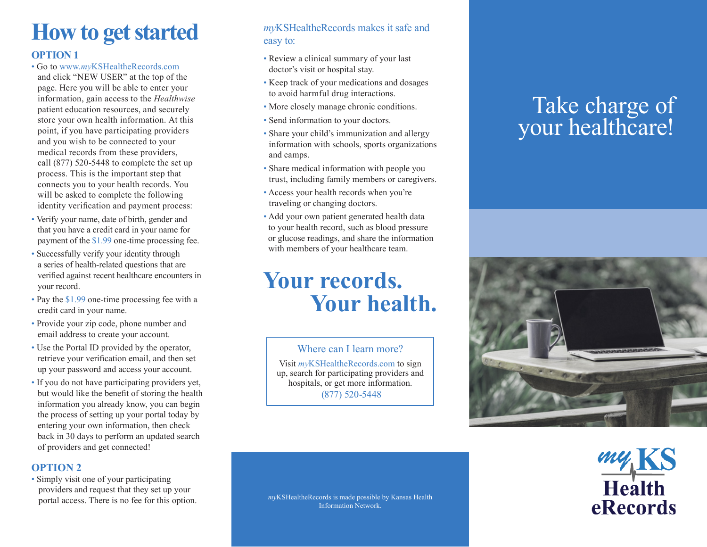# **How to get started**

#### **OPTION 1**

- Go to www.*my*KSHealtheRecords.com and click "NEW USER" at the top of the page. Here you will be able to enter your information, gain access to the *Healthwise* patient education resources, and securely store your own health information. At this point, if you have participating providers and you wish to be connected to your medical records from these providers, call (877) 520-5448 to complete the set up process. This is the important step that connects you to your health records. You will be asked to complete the following identity verification and payment process:
- Verify your name, date of birth, gender and that you have a credit card in your name for payment of the \$1.99 one-time processing fee.
- Successfully verify your identity through a series of health-related questions that are verified against recent healthcare encounters in your record.
- Pay the \$1.99 one-time processing fee with a credit card in your name.
- Provide your zip code, phone number and email address to create your account.
- Use the Portal ID provided by the operator, retrieve your verification email, and then set up your password and access your account.
- If you do not have participating providers yet, but would like the benefit of storing the health information you already know, you can begin the process of setting up your portal today by entering your own information, then check back in 30 days to perform an updated search of providers and get connected!

#### **OPTION 2**

• Simply visit one of your participating providers and request that they set up your

### *my*KSHealtheRecords makes it safe and easy to:

- Review a clinical summary of your last doctor's visit or hospital stay.
- Keep track of your medications and dosages to avoid harmful drug interactions.
- More closely manage chronic conditions.
- Send information to your doctors.
- Share your child's immunization and allergy information with schools, sports organizations and camps.
- Share medical information with people you trust, including family members or caregivers.
- Access your health records when you're traveling or changing doctors.
- Add your own patient generated health data to your health record, such as blood pressure or glucose readings, and share the information with members of your healthcare team.

## **Your records. Your health.**

Where can I learn more? Visit *my*KSHealtheRecords.com to sign

up, search for participating providers and hospitals, or get more information. (877) 520-5448

## Take charge of your healthcare!





portal access. There is no fee for this option. *myKSHealtheRecords* is made possible by Kansas Health Information Network.